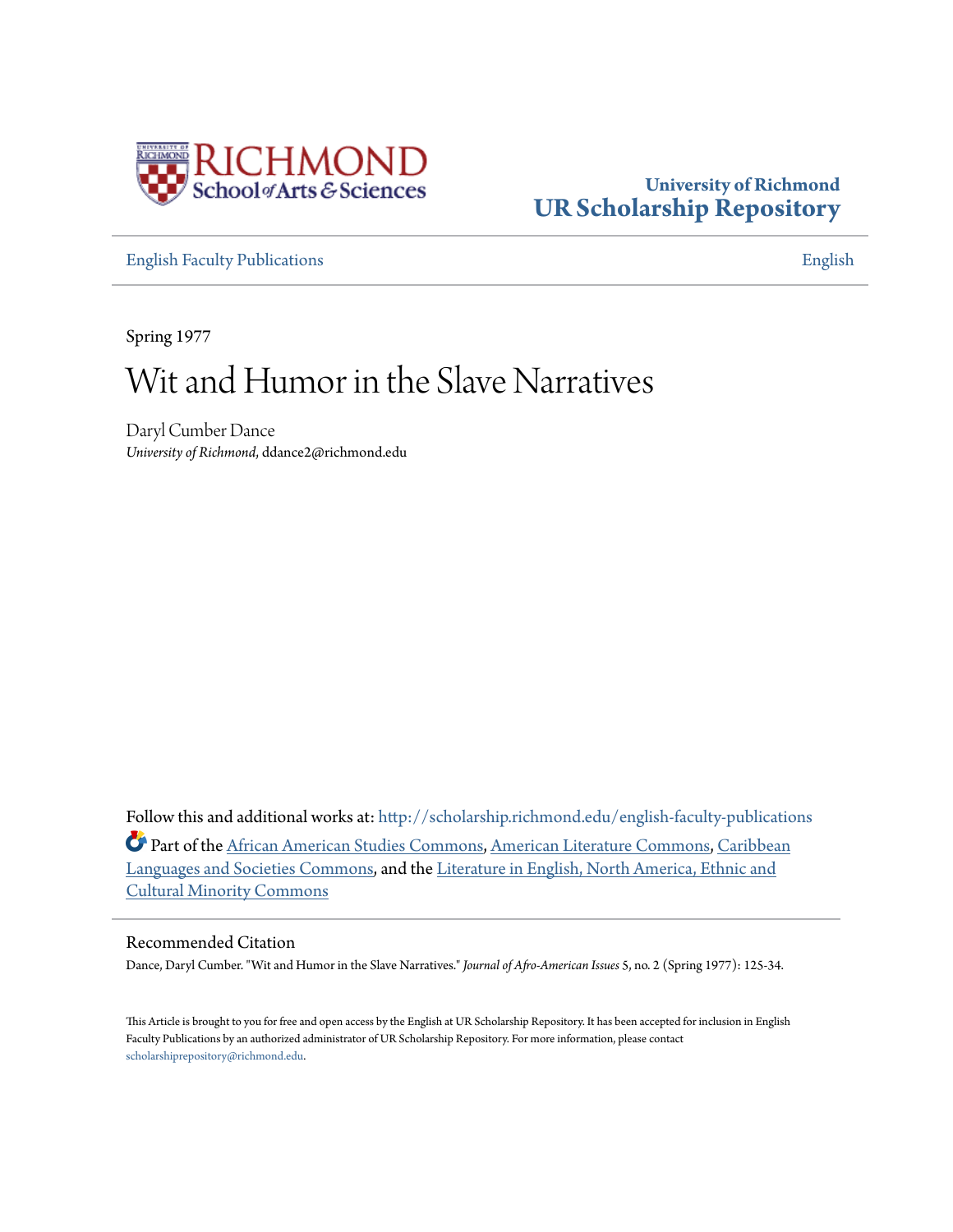

## **University of Richmond [UR Scholarship Repository](http://scholarship.richmond.edu?utm_source=scholarship.richmond.edu%2Fenglish-faculty-publications%2F125&utm_medium=PDF&utm_campaign=PDFCoverPages)**

[English Faculty Publications](http://scholarship.richmond.edu/english-faculty-publications?utm_source=scholarship.richmond.edu%2Fenglish-faculty-publications%2F125&utm_medium=PDF&utm_campaign=PDFCoverPages) **[English](http://scholarship.richmond.edu/english?utm_source=scholarship.richmond.edu%2Fenglish-faculty-publications%2F125&utm_medium=PDF&utm_campaign=PDFCoverPages)** 

Spring 1977

# Wit and Humor in the Slave Narratives

Daryl Cumber Dance *University of Richmond*, ddance2@richmond.edu

Follow this and additional works at: [http://scholarship.richmond.edu/english-faculty-publications](http://scholarship.richmond.edu/english-faculty-publications?utm_source=scholarship.richmond.edu%2Fenglish-faculty-publications%2F125&utm_medium=PDF&utm_campaign=PDFCoverPages) Part of the [African American Studies Commons,](http://network.bepress.com/hgg/discipline/567?utm_source=scholarship.richmond.edu%2Fenglish-faculty-publications%2F125&utm_medium=PDF&utm_campaign=PDFCoverPages) [American Literature Commons](http://network.bepress.com/hgg/discipline/441?utm_source=scholarship.richmond.edu%2Fenglish-faculty-publications%2F125&utm_medium=PDF&utm_campaign=PDFCoverPages), [Caribbean](http://network.bepress.com/hgg/discipline/1359?utm_source=scholarship.richmond.edu%2Fenglish-faculty-publications%2F125&utm_medium=PDF&utm_campaign=PDFCoverPages) [Languages and Societies Commons](http://network.bepress.com/hgg/discipline/1359?utm_source=scholarship.richmond.edu%2Fenglish-faculty-publications%2F125&utm_medium=PDF&utm_campaign=PDFCoverPages), and the [Literature in English, North America, Ethnic and](http://network.bepress.com/hgg/discipline/459?utm_source=scholarship.richmond.edu%2Fenglish-faculty-publications%2F125&utm_medium=PDF&utm_campaign=PDFCoverPages) [Cultural Minority Commons](http://network.bepress.com/hgg/discipline/459?utm_source=scholarship.richmond.edu%2Fenglish-faculty-publications%2F125&utm_medium=PDF&utm_campaign=PDFCoverPages)

### Recommended Citation

Dance, Daryl Cumber. "Wit and Humor in the Slave Narratives." *Journal of Afro-American Issues* 5, no. 2 (Spring 1977): 125-34.

This Article is brought to you for free and open access by the English at UR Scholarship Repository. It has been accepted for inclusion in English Faculty Publications by an authorized administrator of UR Scholarship Repository. For more information, please contact [scholarshiprepository@richmond.edu.](mailto:scholarshiprepository@richmond.edu)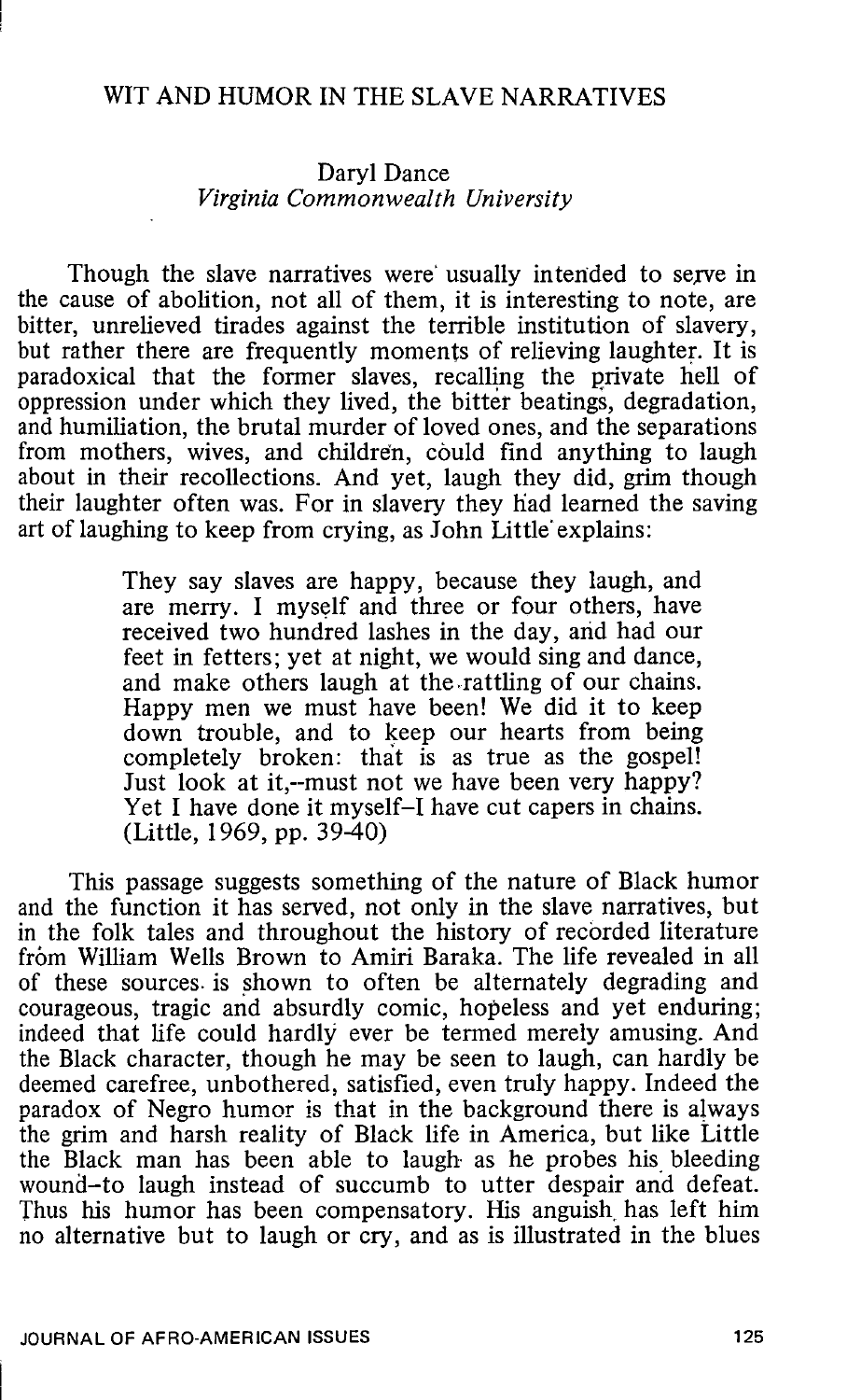#### WIT AND HUMOR IN THE SLAVE NARRATIVES

#### Daryl Dance *Virginia Commonwealth University*

Though the slave narratives were usually intended to serve in the cause of abolition, not all of them, it is interesting to note, are bitter, unrelieved tirades against the terrible institution of slavery, but rather there are frequently moments of relieving laughter. It is paradoxical that the former slaves, recalling the private hell of oppression under which they lived, the bitter beatings, degradation, and humiliation, the brutal murder of loved ones, and the separations from mothers, wives, and children, could find anything to laugh about in their recollections. And yet, laugh they did, grim though their laughter often was. For in slavery they liad learned the saving art of laughing to keep from crying, as John Little' explains:

> They say slaves are happy, because they laugh, and are merry. I myself and three or four others, have received two hundred lashes in the day, and had our feet in fetters; yet at night, we would sing and dance, and make others laugh at the .rattling of our chains. Happy men we must have been! We did it to keep down trouble, and to keep our hearts from being completely broken: that is as true as the gospel! Just look at it,--must not we have been very happy? Yet I have done it myself-I have cut capers in chains. (Little, 1969, pp. 39-40)

This passage suggests something of the nature of Black humor and the function it has served, not only in the slave narratives, but in the folk tales and throughout the history of recorded literature from William Wells Brown to Amiri Baraka. The life revealed in all of these sources. is shown to often be alternately degrading and courageous, tragic and absurdly comic, hopeless and yet enduring; indeed that life could hardly ever be termed merely amusing. And the Black character, though he may be seen to laugh, can hardly be deemed carefree, unbothered, satisfied, even truly happy. Indeed the paradox of Negro humor is that in the background there is always the grim and harsh reality of Black life in America, but like Little the Black man has been able to laugh as he probes his bleeding wound-to laugh instead of succumb to utter despair and defeat. Thus his humor has been compensatory. His anguish. has left him no alternative but to laugh or cry, and as is illustrated in the blues

 $\mathbb{L}$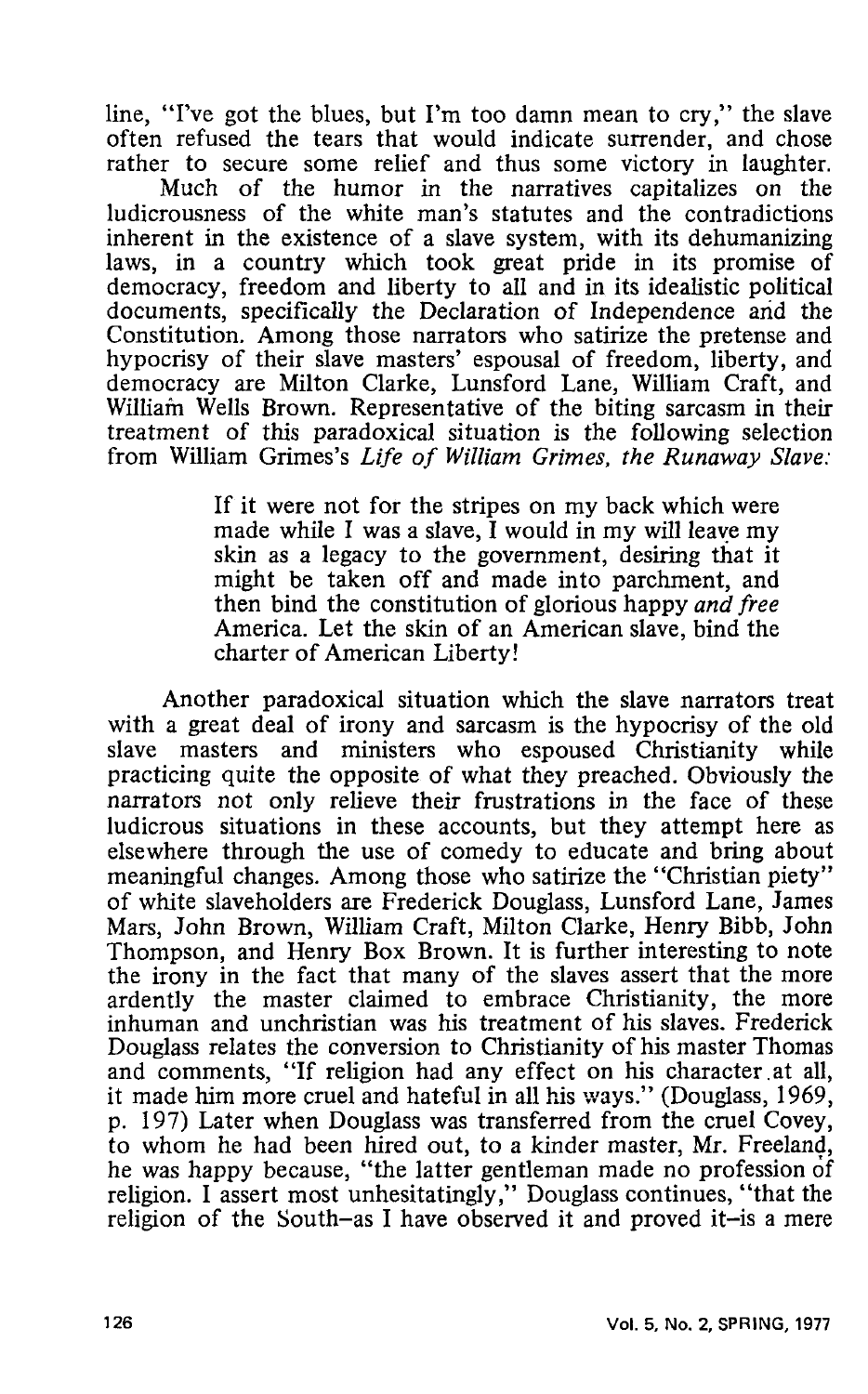line, "I've got the blues, but I'm too damn mean to cry," the slave often refused the tears that would indicate surrender, and chose rather to secure some relief and thus some victory in laughter.

Much of the humor in the narratives capitalizes on the ludicrousness of the white man's statutes and the contradictions inherent in the existence of a slave system, with its dehumanizing laws, in a country which took great pride in its promise of democracy, freedom and liberty to all and in its idealistic political documents, specifically the Declaration of Independence and the Constitution. Among those narrators who satirize the pretense and hypocrisy of their slave masters' espousal of freedom, liberty, and democracy are Milton Clarke, Lunsford Lane, William Craft, and William Wells Brown. Representative of the biting sarcasm in their treatment of this paradoxical situation is the following selection from William Grimes's *Life of William Grimes, the Runaway Slave:* 

> If it were not for the stripes on my back which were made while I was a slave, I would in my will leave my skin as a legacy to the government, desiring that it might be taken off and made into parchment, and then bind the constitution of glorious happy *and free*  America. Let the skin of an American slave, bind the charter of American Liberty!

Another paradoxical situation which the slave narrators treat with a great deal of irony and sarcasm is the hypocrisy of the old slave masters and ministers who espoused Christianity while practicing quite the opposite of what they preached. Obviously the narrators not only relieve their frustrations in the face of these ludicrous situations in these accounts, but they attempt here as elsewhere through the use of comedy to educate and bring about meaningful changes. Among those who satirize the "Christian piety" of white slaveholders are Frederick Douglass, Lunsford Lane, James Mars, John Brown, William Craft, Milton Clarke, Henry Bibb, John Thompson, and Henry Box Brown. It is further interesting to note the irony in the fact that many of the slaves assert that the more ardently the master claimed to embrace Christianity, the more inhuman and unchristian was his treatment of his slaves. Frederick Douglass relates the conversion to Christianity of his master Thomas and comments, "If religion had any effect on his character at all, it made him more cruel and hateful in all his ways." (Douglass, 1969, p. 197) Later when Douglass was transferred from the cruel Covey, to whom he had been hired out, to a kinder master, Mr. Freeland, he was happy because, "the latter gentleman made no profession of religion. I assert most unhesitatingly," Douglass continues, "that the religion of the South-as I have observed it and proved it-is a mere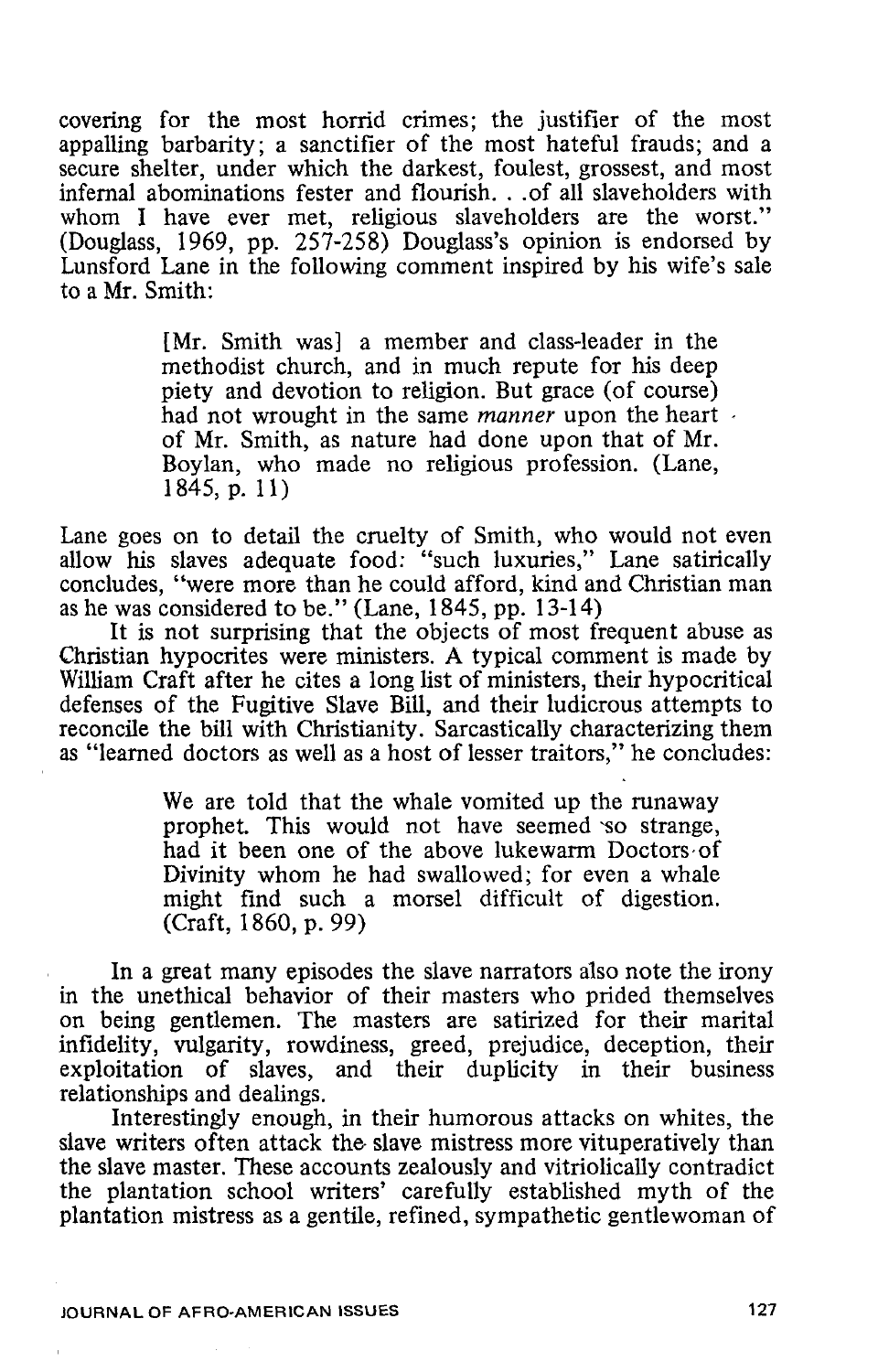covering for the most horrid crimes; the justifier of the most appalling barbarity; a sanctifier of the most hateful frauds; and a secure shelter, under which the darkest, foulest, grossest, and most infernal abominations fester and flourish. . .of all slaveholders with whom I have ever met, religious slaveholders are the worst." (Douglass, 1969, pp. 257-258) Douglass's opinion is endorsed by Lunsford Lane in the following comment inspired by his wife's sale to a Mr. Smith:

> [Mr. Smith was] a member and class-leader in the methodist church, and in much repute for his deep piety and devotion to religion. But grace (of course) had not wrought in the same *manner* upon the heart of Mr. Smith, as nature had done upon that of Mr. Boylan, who made no religious profession. (Lane, 1845, p. 11)

Lane goes on to detail the cruelty of Smith, who would not even allow his slaves adequate food: "such luxuries," Lane satirically concludes, "were more than he could afford, kind and Christian man as he was considered to be." (Lane, 1845, pp. 13-14)

It is not surprising that the objects of most frequent abuse as Christian hypocrites were ministers. A typical comment is made by William Craft after he cites a long list of ministers, their hypocritical defenses of the Fugitive Slave Bill, and their ludicrous attempts to reconcile the bill with Christianity. Sarcastically characterizing them as "learned doctors as well as a host of lesser traitors," he concludes:

> We are told that the whale vomited up the runaway prophet. This would not have seemed 'SO strange, had it been one of the above lukewarm Doctors·of Divinity whom he had swallowed; for even a whale might find such a morsel difficult of digestion. (Craft, 1860, p. 99)

In a great many episodes the slave narrators a1so note the irony in the unethical behavior of their masters who prided themselves on being gentlemen. The masters are satirized for their marital infidelity, vulgarity, rowdiness, greed, prejudice, deception, their exploitation of slaves, and their duplicity in their business relationships and dealings.

Interestingly enough, in their humorous attacks on whites, the slave writers often attack the slave mistress more vituperatively than the slave master. These accounts zealously and vitriolically contradict the plantation school writers' carefully established myth of the plantation mistress as a gentile, refined, sympathetic gentlewoman of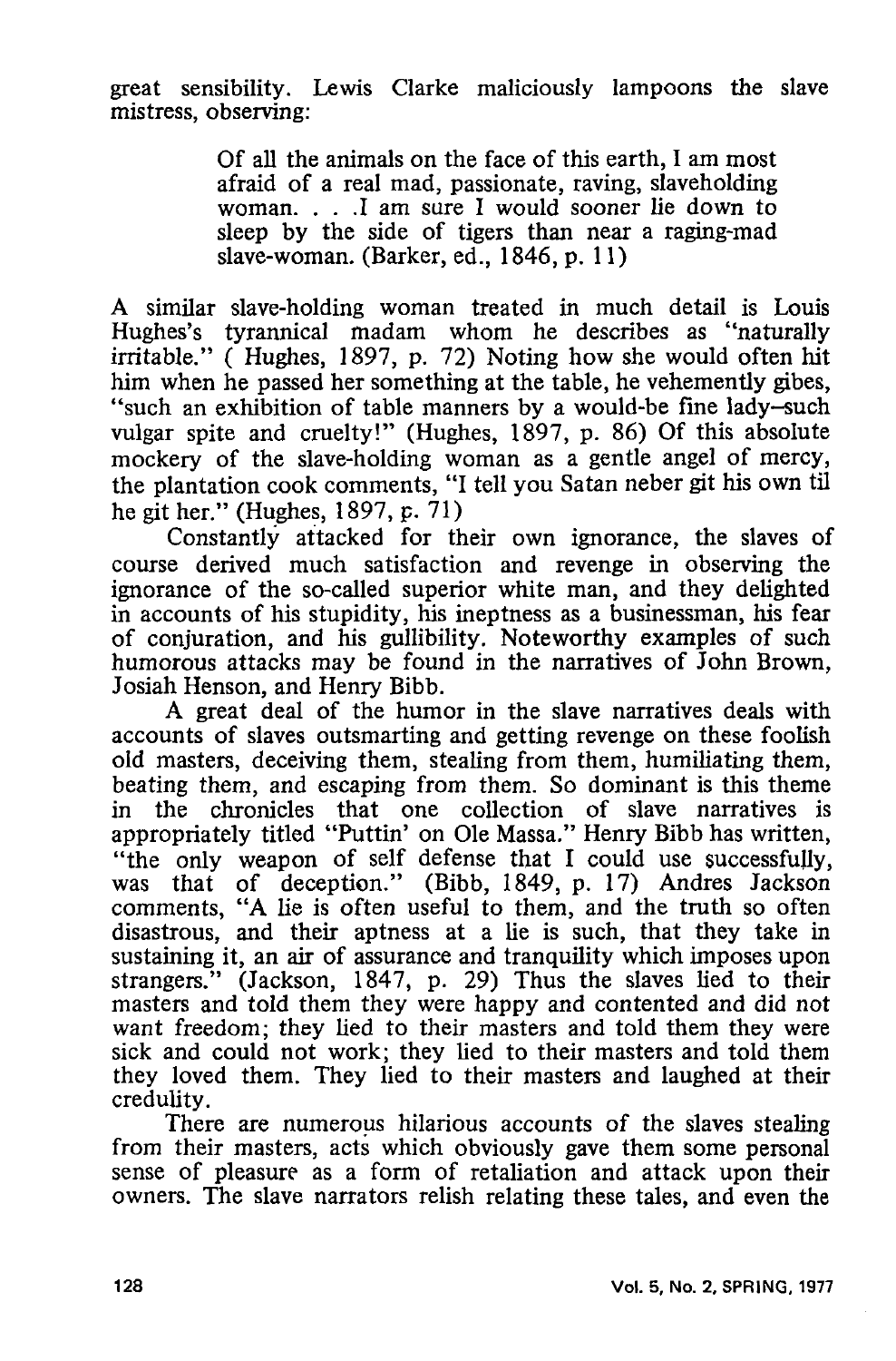great sensibility. Lewis Clarke maliciously lampoons the slave mistress, observing:

> Of all the animals on the face of this earth, I am most afraid of a real mad, passionate, raving, slaveholding woman. . . .I am sure I would sooner lie down to sleep by the side of tigers than near a raging-mad slave-woman. (Barker, ed., 1846, p. 11)

A similar slave-holding woman treated in much detail is Louis Hughes's tyrannical madam whom he describes as "naturally irritable." ( Hughes, 1897, p. 72) Noting how she would often hit him when he passed her something at the table, he vehemently gibes, "such an exhibition of table manners by a would-be fine lady-such vulgar spite and cruelty!" (Hughes, 1897, p. 86) Of this absolute mockery of the slave-holding woman as a gentle angel of mercy, the plantation cook comments, "I tell you Satan neber git his own til he git her." (Hughes, 1897, p. 71)

Constantly attacked for their own ignorance, the slaves of course derived much satisfaction and revenge in observing the ignorance of the so-called superior white man, and they delighted in accounts of his stupidity, his ineptness as a businessman, his fear of conjuration, and his gullibility. Noteworthy examples of such humorous attacks may be found in the narratives of John Brown, Josiah Henson, and Henry Bibb.

A great deal of the humor in the slave narratives deals with accounts of slaves outsmarting and getting revenge on these foolish old masters, deceiving them, stealing from them, humiliating them, beating them, and escaping from them. So dominant is this theme in the chronicles that one collection of slave narratives is appropriately titled "Puttin' on Ole Massa." Henry Bibb has written, "the only weapon of self defense that I could use successfully, was that of deception." (Bibb, 1849, p. 17) Andres Jackson comments, "A lie is often useful to them, and the truth so often disastrous, and their aptness at a lie is such, that they take in sustaining it, an air of assurance and tranquility which imposes upon strangers." (Jackson, 1847, p. 29) Thus the slaves lied to their masters and told them they were happy and contented and did not want freedom; they lied to their masters and told them they were sick and could not work; they lied to their masters and told them they loved them. They lied to their masters and laughed at their credulity.

There are numerous hilarious accounts of the slaves stealing from their masters, acts which obviously gave them some personal sense of pleasure as a form of retaliation and attack upon their owners. The slave narrators relish relating these tales, and even the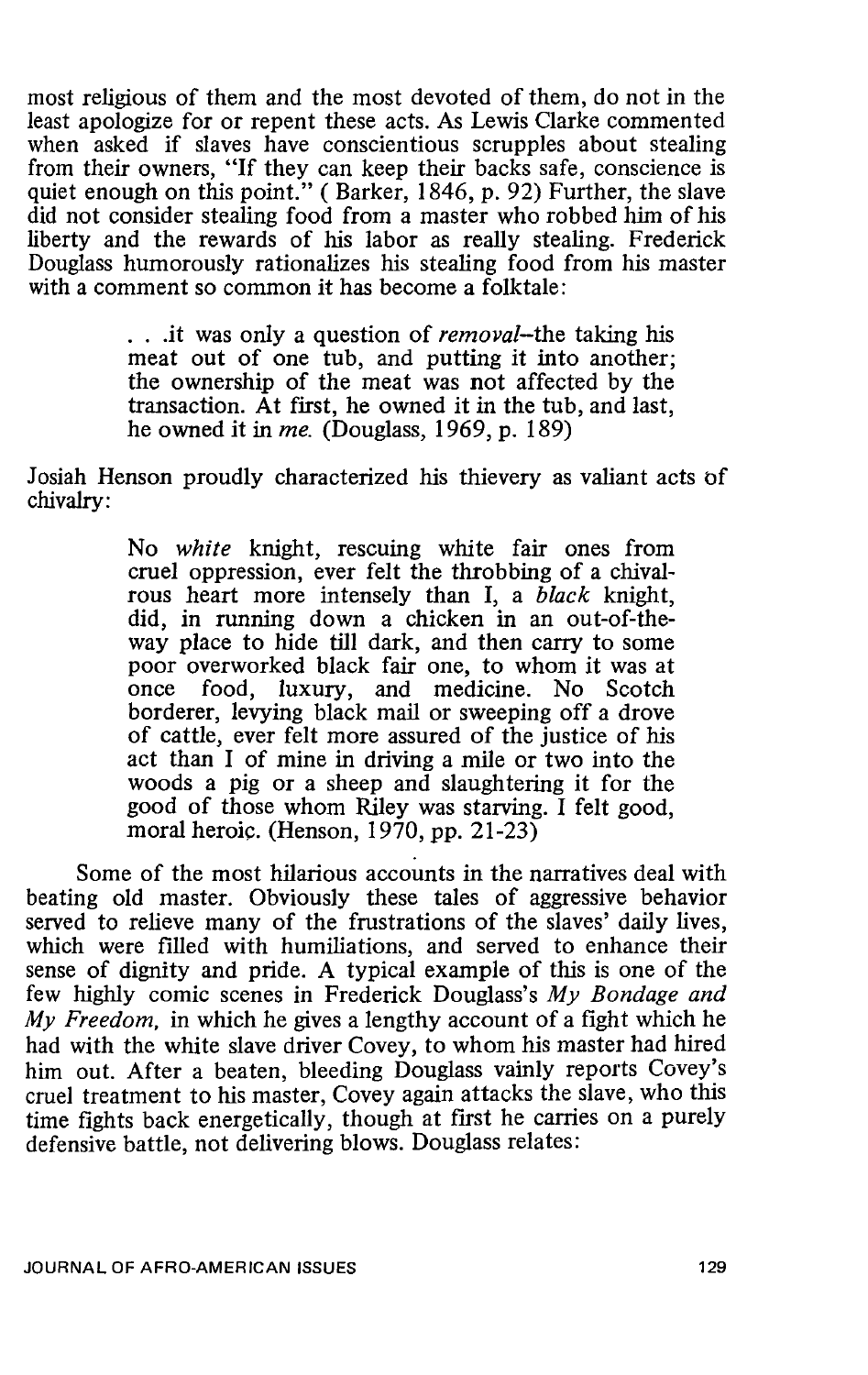most religious of them and the most devoted of them, do not in the least apologize for or repent these acts. As Lewis Clarke commented when asked if slaves have conscientious scrupples about stealing from their owners, "If they can keep their backs safe, conscience is quiet enough on this point." (Barker, 1846, p. 92) Further, the slave did not consider stealing food from a master who robbed him of his liberty and the rewards of his labor as really stealing. Frederick Douglass humorously rationalizes his stealing food from his master with a comment so common it has become a folktale:

> . . .it was only a question of *removal-the* taking his meat out of one tub, and putting it into another; the ownership of the meat was not affected by the transaction. At first, he owned it in the tub, and last, he owned it in *me.* (Douglass, 1969, p. 189)

Josiah Henson proudly characterized his thievery as valiant acts of chivalry:

> No *white* knight, rescuing white fair ones from cruel oppression, ever felt the throbbing of a chivalrous heart more intensely than I, a *black* knight, did, in running down a chicken in an out-of-theway place to hide till dark, and then carry to some poor overworked black fair one, to whom it was at once food. luxury, and medicine. No Scotch food, luxury, and medicine. No Scotch borderer, levying black mail or sweeping off a drove of cattle, ever felt more assured of the justice of his act than I of mine in driving a mile or two into the woods a pig or a sheep and slaughtering it for the good of those whom Riley was starving. I felt good, moral heroic. (Henson, 1970, pp. 21-23)

Some of the most hilarious accounts in the narratives deal with beating old master. Obviously these tales of aggressive behavior served to relieve many of the frustrations of the slaves' daily lives, which were filled with humiliations, and served to enhance their sense of dignity and pride. A typical example of this is one of the few highly comic scenes in Frederick Douglass's My *Bondage and*  My *Freedom,* in which he gives a lengthy account of a fight which he had with the white slave driver Covey, to whom his master had hired him out. After a beaten, bleeding Douglass vainly reports Covey's cruel treatment to his master, Covey again attacks the slave, who this time fights back energetically, though at first he carries on a purely defensive battle, not delivering blows. Douglass relates: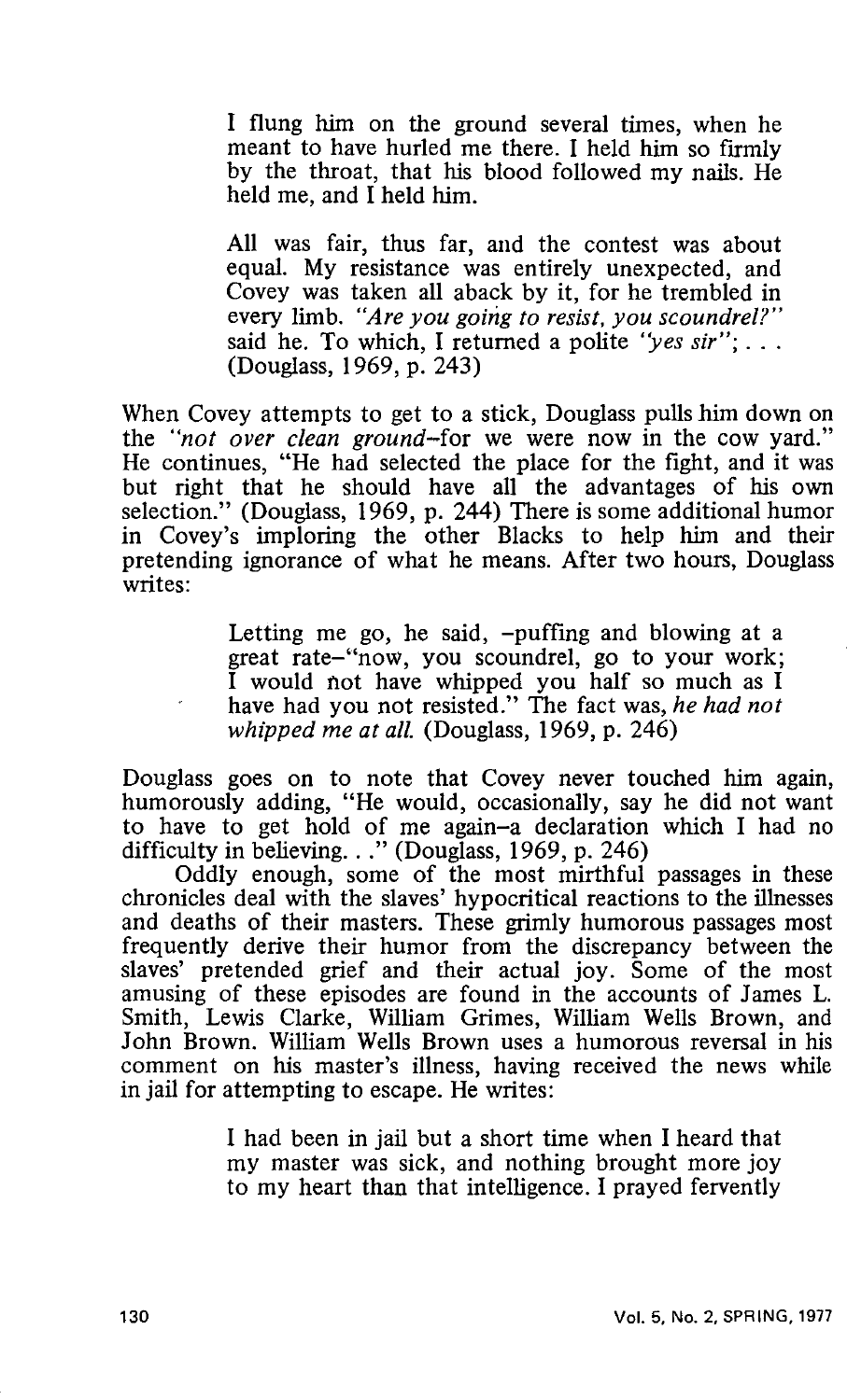I flung him on the ground several times, when he meant to have hurled me there. I held him so firmly by the throat, that his blood followed my nails. He held me, and I held him.

All was fair, thus far, and the contest was about equal. My resistance was entirely unexpected, and Covey was taken all aback by it, for he trembled in every limb. *"Are you going to resist. you scoundrel?"*  said he. To which, I returned a polite *'yes sir";* ... (Douglass, 1969, p. 243)

When Covey attempts to get to a stick, Douglass pulls him down on the *"not over clean ground-for* we were now in the cow yard." He continues, "He had selected the place for the fight, and it was but right that he should have all the advantages of his own selection." (Douglass, 1969, p. 244) There is some additional humor in Covey's imploring the other Blacks to help him and their pretending ignorance of what he means. After two hours, Douglass writes:

> Letting me go, he said, -puffing and blowing at a great rate-"now, you scoundrel, go to your work; I would not have whipped you half so much as I have had you not resisted." The fact was, *he had not whipped me at all.* (Douglass, 1969, p. 246)

Douglass goes on to note that Covey never touched him again, humorously adding, "He would, occasionally, say he did not want to have to get hold of me again-a declaration which I had no difficulty in believing. . ." (Douglass, 1969, p. 246)

Oddly enough, some of the most mirthful passages in these chronicles deal with the slaves' hypocritical reactions to the illnesses and deaths of their masters. These grimly humorous passages most frequently derive their humor from the discrepancy between the slaves' pretended grief and their actual joy. Some of the most amusing of these episodes are found in the accounts of James L. Smith, Lewis Clarke, William Grimes, William Wells Brown, and John Brown. William Wells Brown uses a humorous reversal in his comment on his master's illness, having received the news while in jail for attempting to escape. He writes:

> I had been in jail but a short time when I heard that my master was sick, and nothing brought more joy to my heart than that intelligence. I prayed fervently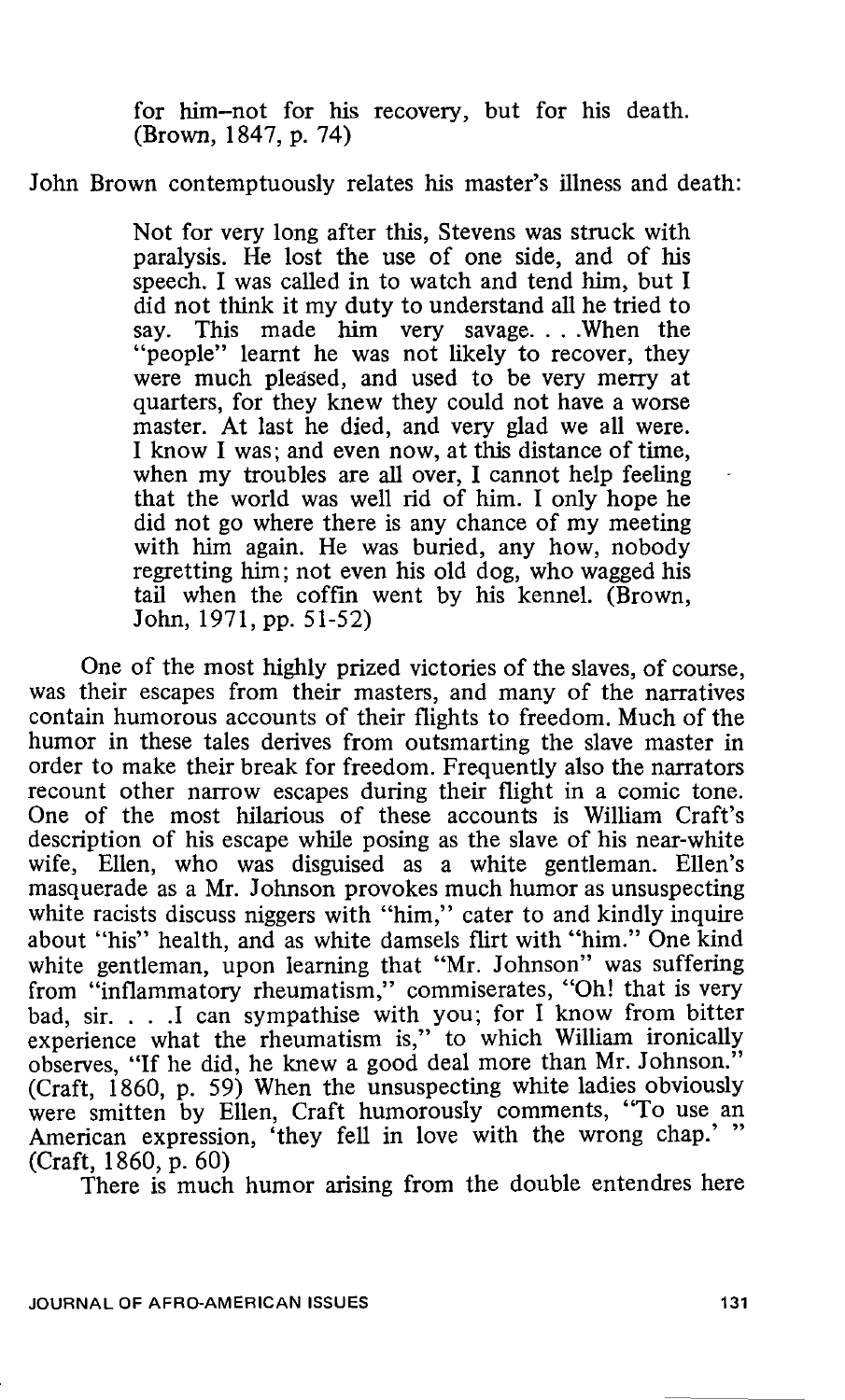for him-not for his recovery, but for his death. (Brown, 1847, p. 74)

#### John Brown contemptuously relates his master's illness and death:

Not for very long after this, Stevens was struck with paralysis. He lost the use of one side, and of his speech. I was called in to watch and tend him, but I did not think it my duty to understand all he tried to say. This made him very savage....When the "people" learnt he was not likely to recover, they were much pleased, and used to be very merry at quarters, for they knew they could not have a worse master. At last he died, and very glad we all were. I know I was; and even now, at this distance of time, when my troubles are all over, I cannot help feeling that the world was well rid of him. I only hope he did not go where there is any chance of my meeting with him again. He was buried, any how, nobody regretting him; not even his old dog, who wagged his tail when the coffin went by his kennel. (Brown, John, 1971, pp. 51-52)

One of the most highly prized victories of the slaves, of course, was their escapes from their masters, and many of the narratives contain humorous accounts of their flights to freedom. Much of the humor in these tales derives from outsmarting the slave master in order to make their break for freedom. Frequently also the narrators recount other narrow escapes during their flight in a comic tone. One of the most hilarious of these accounts is William Craft's description of his escape while posing as the slave of his near-white wife, Ellen, who was disguised as a white gentleman. Ellen's masquerade as a Mr. Johnson provokes much humor as unsuspecting white racists discuss niggers with "him," cater to and kindly inquire about "his" health, and as white damsels flirt with "him." One kind white gentleman, upon learning that "Mr. Johnson" was suffering from "inflammatory rheumatism," commiserates, "Oh! that is very bad, sir. . . .I can sympathise with you; for I know from bitter experience what the rheumatism is," to which William ironically observes, "If he did, he knew a good deal more than Mr. Johnson." (Craft, 1860, p. 59) When the unsuspecting white ladies obviously were smitten by Ellen, Craft humorously comments, "To use an American expression, 'they fell in love with the wrong chap.' " (Craft, 1860, p. 60)

There is much humor arising from the double entendres here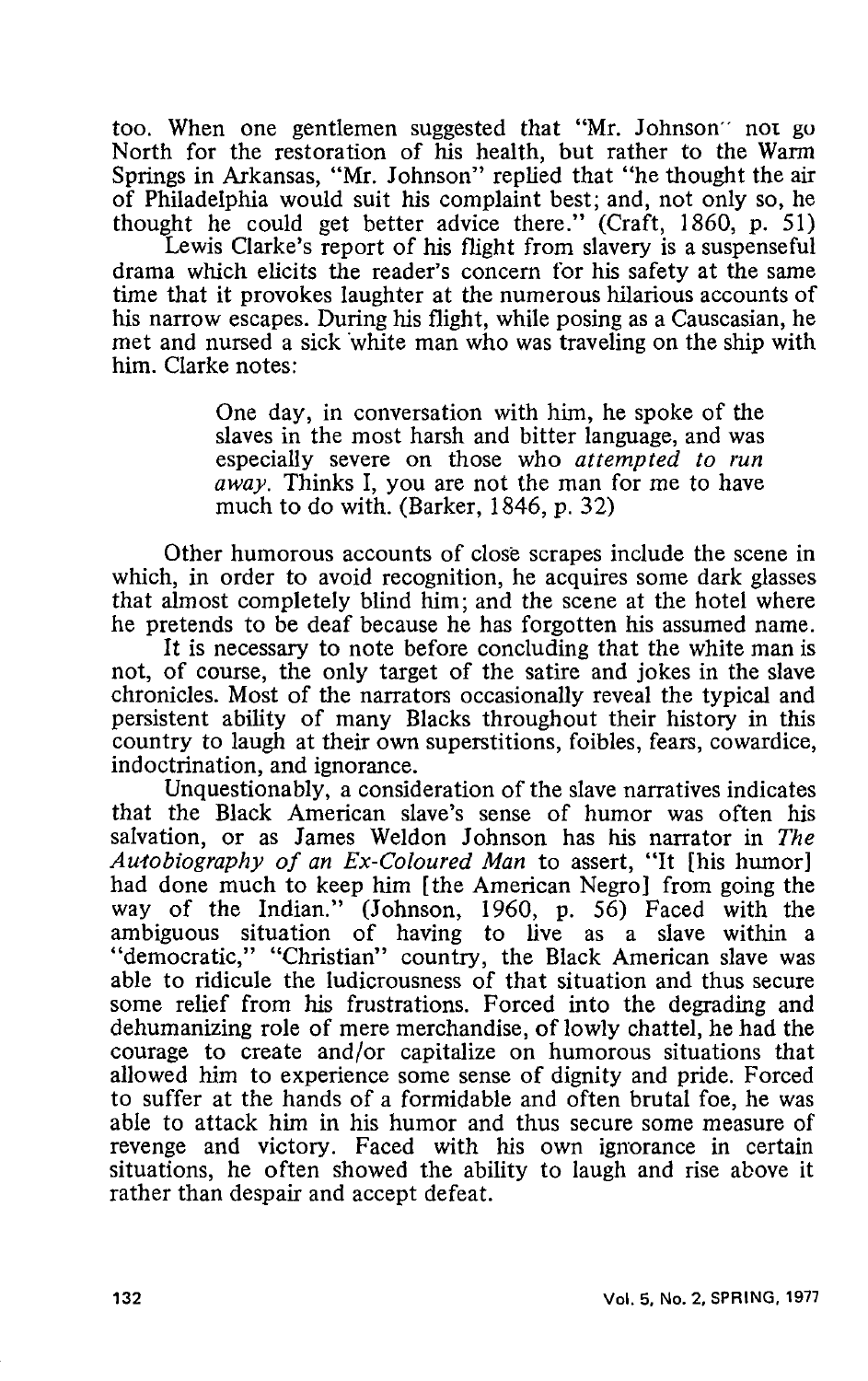too. When one gentlemen suggested that "Mr. Johnson" not go North for the restoration of his health, but rather to the Warm Springs in Arkansas, "Mr. Johnson" replied that "he thought the air of Philadelphia would suit his complaint best; and, not only so, he thought he could get better advice there." (Craft, 1860, p. 51)

Lewis Clarke's report of his flight from slavery is a suspenseful drama which elicits the reader's concern for his safety at the same time that it provokes laughter at the numerous hilarious accounts of his narrow escapes. During his flight, while posing as a Causcasian, he met and nursed a sick white man who was traveling on the ship with him. Clarke notes:

> One day, in conversation with him, he spoke of the slaves in the most harsh and bitter language, and was especially severe on those who *attempted to run away.* Thinks I, you are not the man for me to have much to do with. (Barker, 1846, p. 32)

Other humorous accounts of close scrapes include the scene in which, in order to avoid recognition, he acquires some dark glasses that almost completely blind him; and the scene at the hotel where he pretends to be deaf because he has forgotten his assumed name.

It is necessary to note before concluding that the white man is not, of course, the only target of the satire and jokes in the slave chronicles. Most of the narrators occasionally reveal the typical and persistent ability of many Blacks throughout their history in this country to laugh at their own superstitions, foibles, fears, cowardice, indoctrination, and ignorance.

Unquestionably, a consideration of the slave narratives indicates that the Black American slave's sense of humor was often his salvation, or as James Weldon Johnson has his narrator in *The Autobiography of an Ex-Coloured Man* to assert, "It [his humor] had done much to keep him [the American Negro] from going the way of the Indian." (Johnson, 1960, p. 56) Faced with the ambiguous situation of having to live as a slave within a "democratic," "Christian" country, the Black American slave was able to ridicule the ludicrousness of that situation and thus secure some relief from his frustrations. Forced into the degrading and dehumanizing role of mere merchandise, of lowly chattel, he had the courage to create and/or capitalize on humorous situations that allowed him to experience some sense of dignity and pride. Forced to suffer at the hands of a formidable and often brutal foe, he was able to attack him in his humor and thus secure some measure of revenge and victory. Faced with his own ignorance in certain situations, he often showed the ability to laugh and rise above it rather than despair and accept defeat.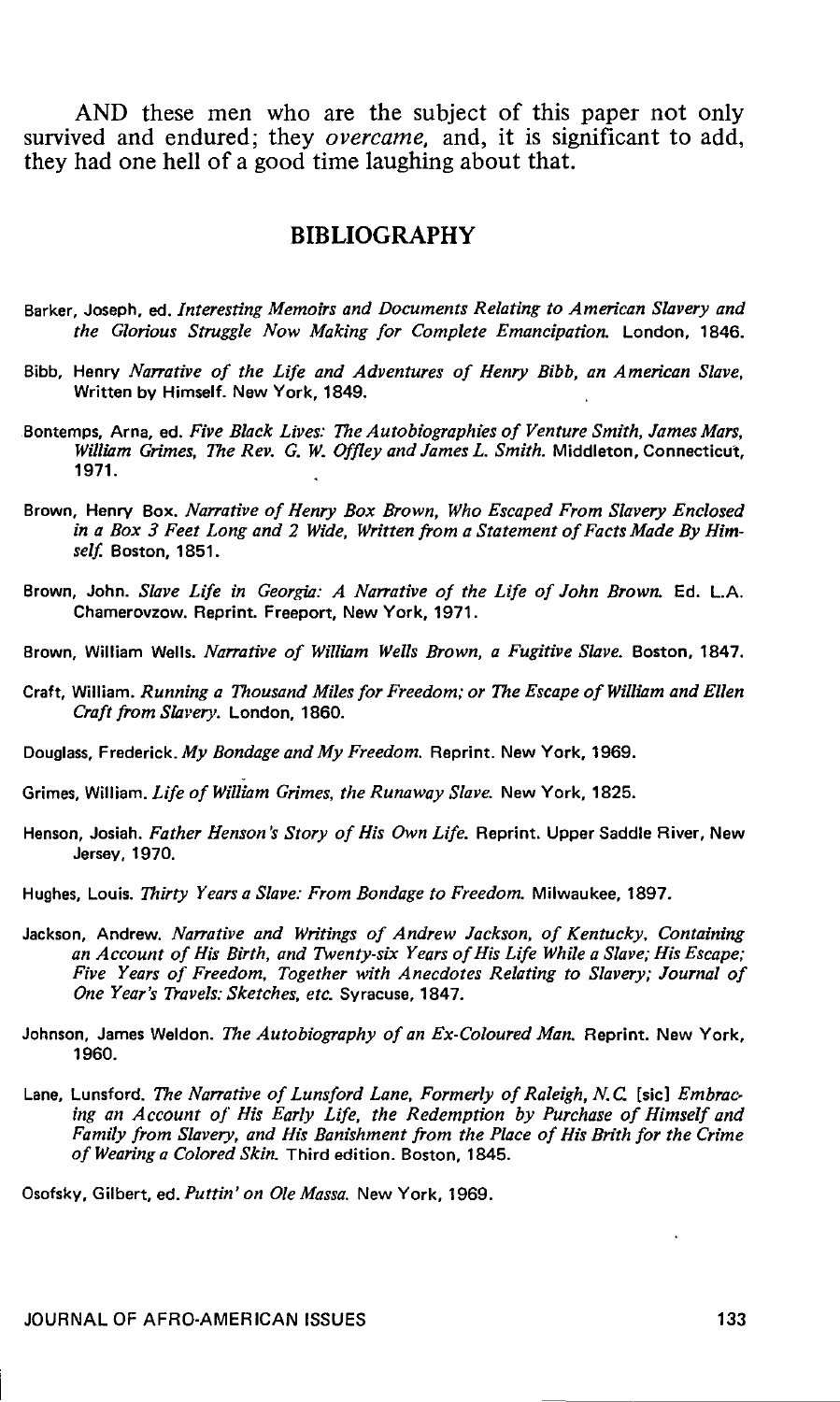AND these men who are the subject of this paper not only survived and endured; they *overcame*, and, it is significant to add, they had one hell of a good time laughing about that.

#### **BIBLIOGRAPHY**

- Barker, Joseph, ed. *Interesting Memoirs and Documents Relating to American Slavery and the Glorious Struggle Now Making for Complete Emancipation.* London, 1846.
- Bibb, Henry *Na"ative of the Life and Adventures of Henry Bibb, an American Slave,*  Written by Himself. New York, 1849.
- Bontemps, Arna, ed. *Five Black Lives: The Autobiographies of Venture Smith, James Mars, William Grimes, The Rev.* G. *W. Offley and James L. Smith.* Middleton, Connecticut, 1971.
- Brown, Henry Box. *Na"ative of Henry Box Brown, Who Escaped From Slavery Enclosed in a Box 3 Feet Long and 2 Wide, Written from a Statement of Facts Made By Himself.* Boston, 1851.
- Brown, John. *Slave Life in Georgia: A Narrative of the Life of John Brown*. Ed. L.A. Chamerovzow. Reprint. Freeport, New York, 1971.
- Brown, William Wells. *Na"ative of William Wells Brown, a Fugitive Slave.* Boston, 1847.
- Craft, William. *Running a Thousand Miles for Freedom; or The Escape of William and Ellen Craft from Slai•ery.* London, 1860.
- Douglass, Frederick. *My Bondage and My Freedom.* Reprint. New York, 1969.
- Grimes, William. *Life of William Grimes, the Runaway Slave.* New York, 1825.
- Henson, Josiah. *Father Henson's Story of His Own Life.* Reprint. Upper Saddle River, New Jersey, 1970.
- Hughes, Louis. *Thirty Years a Slave: From Bondage to Freedom.* Milwaukee, 1897.
- Jackson, Andrew. *Narrative and Writings of Andrew Jackson*, of Kentucky, Containing *an Account of His Birth, and Twenty-six Years of His Life While a Slave; His Escape; Five Years of Freedom, Together with Anecdotes Relating to Slavery; Journal of One Year's Travels: Sketches, etc.* Syracuse, 1847.
- Johnson, James Weldon. *The Autobiography of an Ex-Coloured Man.* Reprint. New York, 1960.
- Lane, Lunsford, *The Narrative of Lunsford Lane, Formerly of Raleigh, N.C.* [sic] *Embracing an Account of His Early Life, the Redemption by Purchase of Himself and Family from Slavery, and His Banishment from the Place of His Brith for the Crime of Wearing a Colored Skin.* Third edition. Boston, 1845.

Osofsky, Gilbert, ed. *Puttin' on Ole Massa.* New York, 1969.